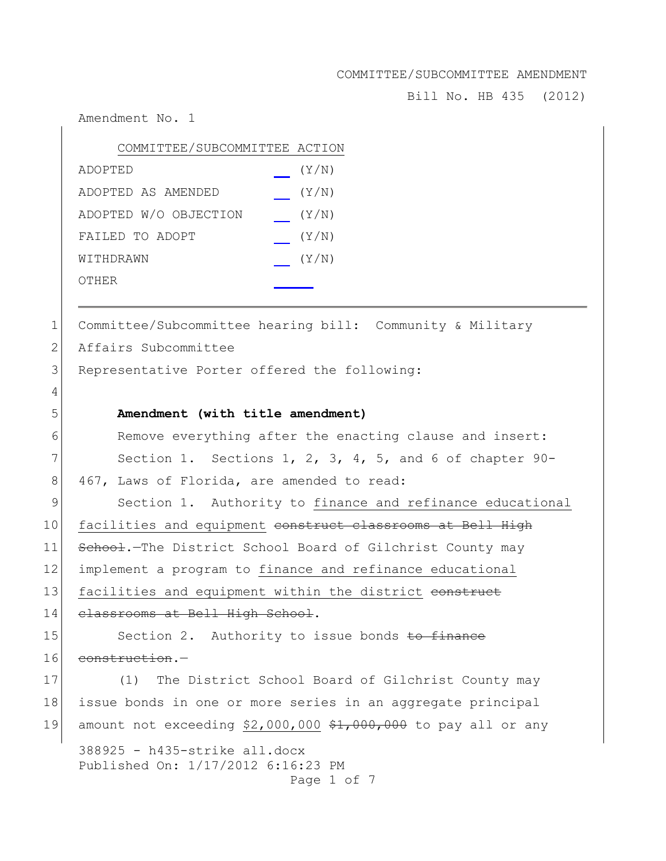Bill No. HB 435 (2012)

Amendment No. 1

| COMMITTEE/SUBCOMMITTEE ACTION |       |
|-------------------------------|-------|
| ADOPTED                       | (Y/N) |
| ADOPTED AS AMENDED            | (Y/N) |
| ADOPTED W/O OBJECTION         | (Y/N) |
| FAILED TO ADOPT               | (Y/N) |
| WITHDRAWN                     | (Y/N) |
| OTHER                         |       |

1 Committee/Subcommittee hearing bill: Community & Military

2 Affairs Subcommittee

3 Representative Porter offered the following:

# 5 **Amendment (with title amendment)**

6 Remove everything after the enacting clause and insert:  $7$  Section 1. Sections 1, 2, 3, 4, 5, and 6 of chapter 90-8 467, Laws of Florida, are amended to read:

9 Section 1. Authority to finance and refinance educational 10 facilities and equipment construct classrooms at Bell High 11 School.-The District School Board of Gilchrist County may 12 implement a program to finance and refinance educational 13 facilities and equipment within the district construct 14 classrooms at Bell High School.

15 Section 2. Authority to issue bonds to finance 16 construction.-

17 (1) The District School Board of Gilchrist County may 18 issue bonds in one or more series in an aggregate principal 19 amount not exceeding  $$2,000,000$   $$1,000,000$  to pay all or any

388925 - h435-strike all.docx Published On: 1/17/2012 6:16:23 PM Page 1 of 7

4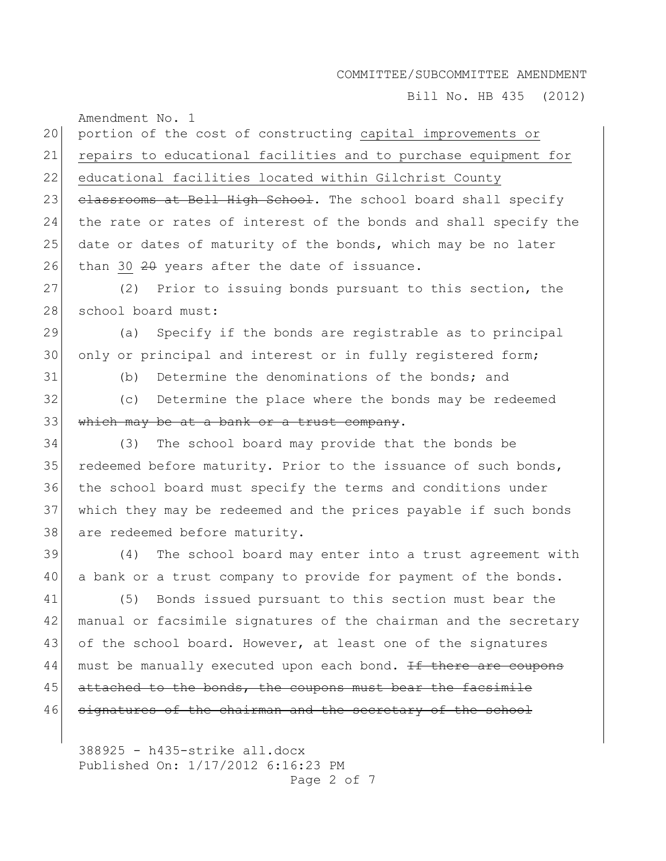Bill No. HB 435 (2012)

Amendment No. 1 20 portion of the cost of constructing capital improvements or 21 repairs to educational facilities and to purchase equipment for 22 educational facilities located within Gilchrist County 23 classrooms at Bell High School. The school board shall specify 24 the rate or rates of interest of the bonds and shall specify the 25 date or dates of maturity of the bonds, which may be no later 26 than 30  $20$  years after the date of issuance. 27 (2) Prior to issuing bonds pursuant to this section, the 28 school board must: 29 (a) Specify if the bonds are registrable as to principal 30 only or principal and interest or in fully registered form; 31 (b) Determine the denominations of the bonds; and 32 (c) Determine the place where the bonds may be redeemed  $33$  which may be at a bank or a trust company. 34 (3) The school board may provide that the bonds be 35 redeemed before maturity. Prior to the issuance of such bonds, 36 the school board must specify the terms and conditions under 37 which they may be redeemed and the prices payable if such bonds 38 are redeemed before maturity. 39 (4) The school board may enter into a trust agreement with 40 a bank or a trust company to provide for payment of the bonds. 41 (5) Bonds issued pursuant to this section must bear the 42 manual or facsimile signatures of the chairman and the secretary 43 of the school board. However, at least one of the signatures 44 must be manually executed upon each bond. If there are coupons  $45$  attached to the bonds, the coupons must bear the facsimile 46 signatures of the chairman and the secretary of the school

388925 - h435-strike all.docx Published On: 1/17/2012 6:16:23 PM Page 2 of 7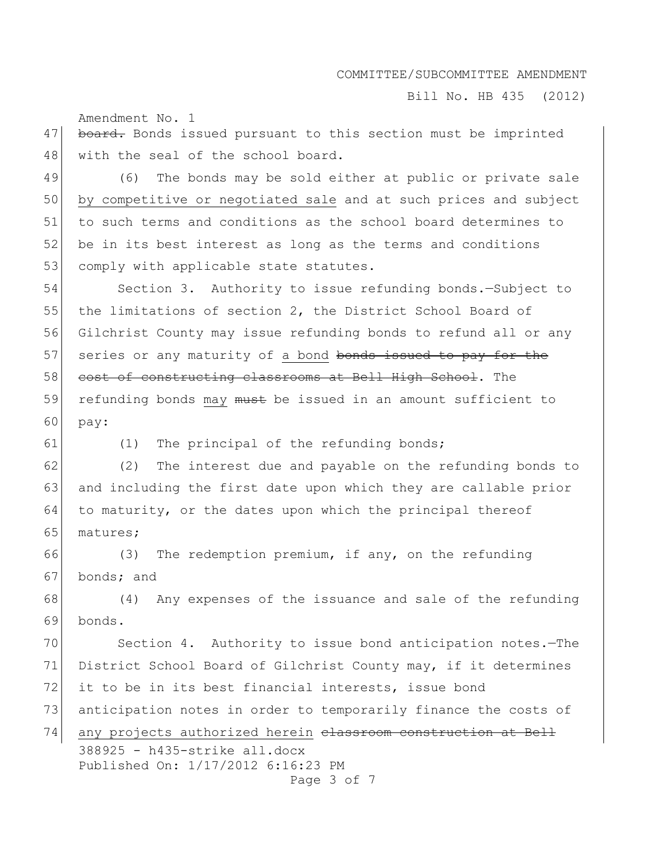Bill No. HB 435 (2012)

Amendment No. 1

47 board. Bonds issued pursuant to this section must be imprinted 48 with the seal of the school board.

49 (6) The bonds may be sold either at public or private sale 50 by competitive or negotiated sale and at such prices and subject 51 to such terms and conditions as the school board determines to 52 be in its best interest as long as the terms and conditions 53 comply with applicable state statutes.

54 Section 3. Authority to issue refunding bonds.—Subject to 55 the limitations of section 2, the District School Board of 56 Gilchrist County may issue refunding bonds to refund all or any 57 series or any maturity of a bond bonds issued to pay for the 58 cost of constructing classrooms at Bell High School. The 59 refunding bonds may must be issued in an amount sufficient to 60 pay:

61 (1) The principal of the refunding bonds;

 $62$  (2) The interest due and payable on the refunding bonds to 63 and including the first date upon which they are callable prior 64 to maturity, or the dates upon which the principal thereof 65 matures;

66 (3) The redemption premium, if any, on the refunding 67 bonds; and

68 (4) Any expenses of the issuance and sale of the refunding 69 bonds.

70 Section 4. Authority to issue bond anticipation notes. The 71 District School Board of Gilchrist County may, if it determines 72 it to be in its best financial interests, issue bond 73 anticipation notes in order to temporarily finance the costs of 74 any projects authorized herein classroom construction at Bell

388925 - h435-strike all.docx Published On: 1/17/2012 6:16:23 PM Page 3 of 7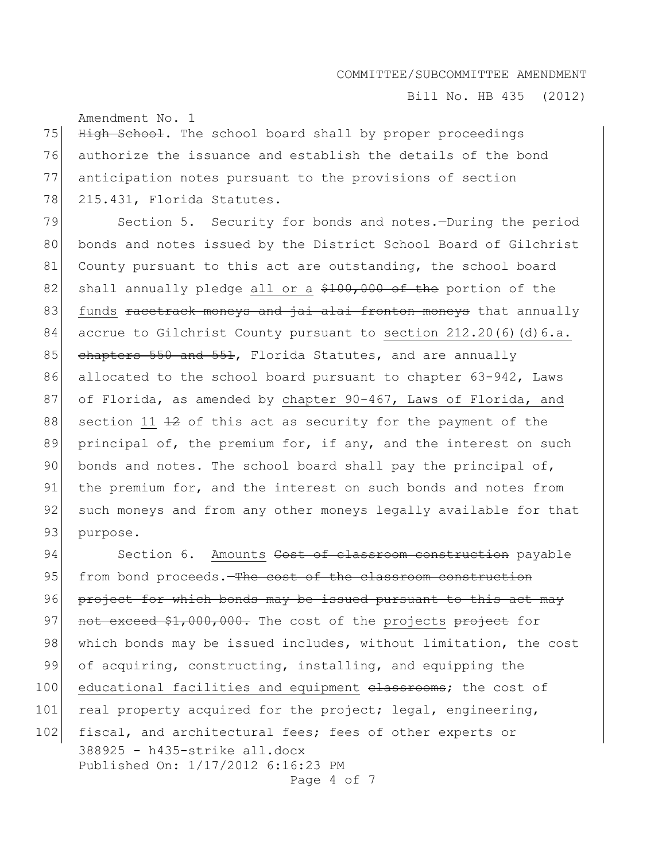Bill No. HB 435 (2012)

Amendment No. 1

75 High School. The school board shall by proper proceedings 76 authorize the issuance and establish the details of the bond 77 anticipation notes pursuant to the provisions of section 78 215.431, Florida Statutes.

79 Section 5. Security for bonds and notes.—During the period 80 bonds and notes issued by the District School Board of Gilchrist 81 County pursuant to this act are outstanding, the school board 82 shall annually pledge all or a \$100,000 of the portion of the 83 funds racetrack moneys and jai alai fronton moneys that annually 84 accrue to Gilchrist County pursuant to section 212.20(6)(d)6.a. 85 chapters 550 and 551, Florida Statutes, and are annually 86 allocated to the school board pursuant to chapter 63-942, Laws 87 of Florida, as amended by chapter 90-467, Laws of Florida, and 88 section 11  $\pm 2$  of this act as security for the payment of the 89 principal of, the premium for, if any, and the interest on such 90 bonds and notes. The school board shall pay the principal of, 91 the premium for, and the interest on such bonds and notes from 92 such moneys and from any other moneys legally available for that 93 purpose.

388925 - h435-strike all.docx Published On: 1/17/2012 6:16:23 PM Page 4 of 7 94 Section 6. Amounts Cost of classroom construction payable 95 from bond proceeds.—The cost of the classroom construction 96 project for which bonds may be issued pursuant to this act may 97 not exceed \$1,000,000. The cost of the projects project for 98 which bonds may be issued includes, without limitation, the cost 99 of acquiring, constructing, installing, and equipping the 100 educational facilities and equipment classrooms; the cost of 101 real property acquired for the project; legal, engineering, 102 fiscal, and architectural fees; fees of other experts or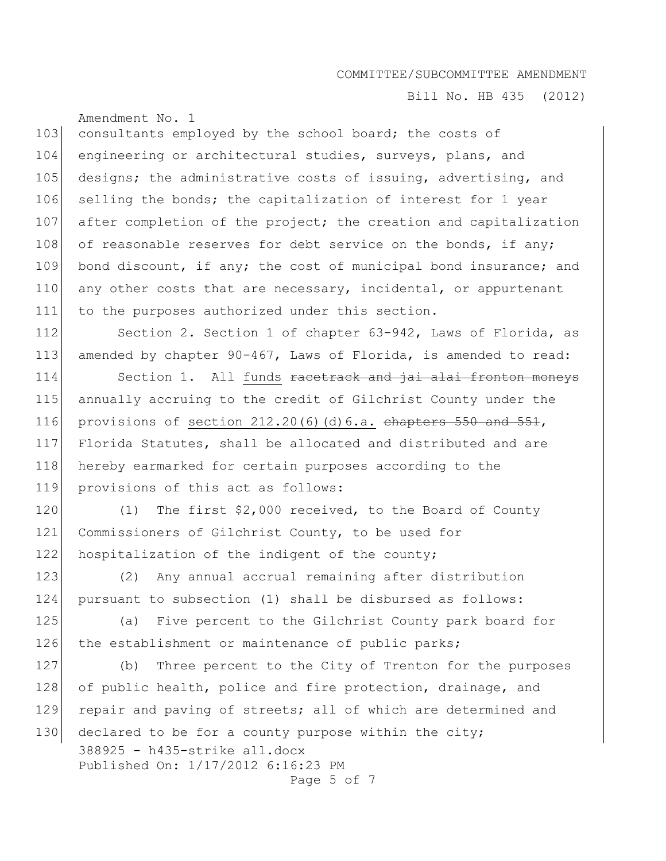Bill No. HB 435 (2012)

Amendment No. 1 103 consultants employed by the school board; the costs of 104 engineering or architectural studies, surveys, plans, and 105 designs; the administrative costs of issuing, advertising, and 106 selling the bonds; the capitalization of interest for 1 year 107 after completion of the project; the creation and capitalization 108 of reasonable reserves for debt service on the bonds, if any; 109 bond discount, if any; the cost of municipal bond insurance; and 110 any other costs that are necessary, incidental, or appurtenant 111 to the purposes authorized under this section.

112 Section 2. Section 1 of chapter 63-942, Laws of Florida, as 113 amended by chapter 90-467, Laws of Florida, is amended to read:

114 Section 1. All funds racetrack and jai alai fronton moneys 115 annually accruing to the credit of Gilchrist County under the 116 provisions of section  $212.20(6)(d)6.a.$  chapters  $550$  and  $551$ , 117 Florida Statutes, shall be allocated and distributed and are 118 hereby earmarked for certain purposes according to the 119 provisions of this act as follows:

120 (1) The first \$2,000 received, to the Board of County 121 Commissioners of Gilchrist County, to be used for 122 hospitalization of the indigent of the county;

123 (2) Any annual accrual remaining after distribution 124 pursuant to subsection (1) shall be disbursed as follows:

125 (a) Five percent to the Gilchrist County park board for 126 the establishment or maintenance of public parks;

127 (b) Three percent to the City of Trenton for the purposes 128 of public health, police and fire protection, drainage, and 129 repair and paving of streets; all of which are determined and

388925 - h435-strike all.docx Published On: 1/17/2012 6:16:23 PM Page 5 of 7 130 declared to be for a county purpose within the city;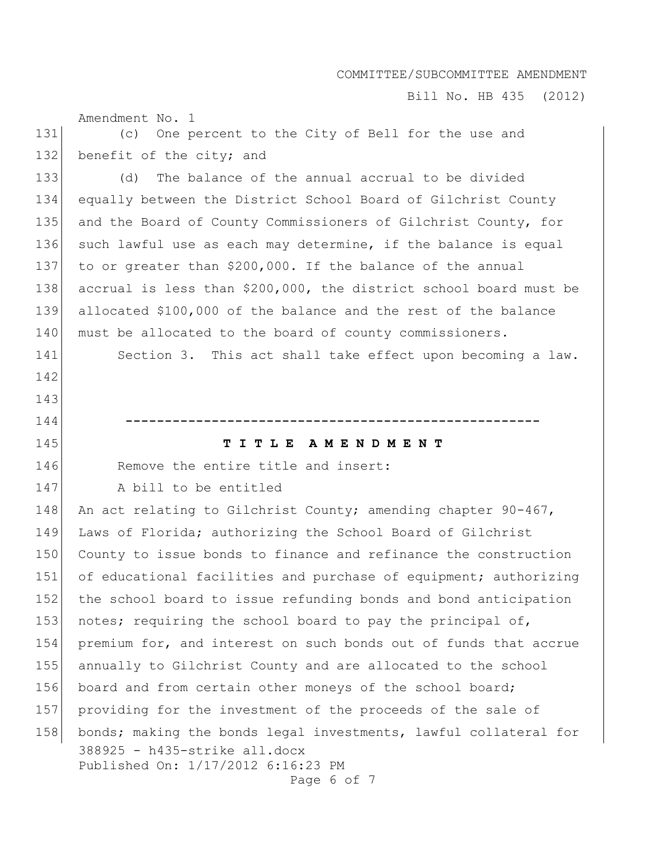Bill No. HB 435 (2012)

Amendment No. 1

142

143

131 (c) One percent to the City of Bell for the use and 132 benefit of the city; and

133 (d) The balance of the annual accrual to be divided 134 equally between the District School Board of Gilchrist County 135 and the Board of County Commissioners of Gilchrist County, for 136 such lawful use as each may determine, if the balance is equal 137 to or greater than \$200,000. If the balance of the annual 138 accrual is less than \$200,000, the district school board must be 139 allocated \$100,000 of the balance and the rest of the balance 140 must be allocated to the board of county commissioners.

141 Section 3. This act shall take effect upon becoming a law.

145 **T I T L E A M E N D M E N T**

146 Remove the entire title and insert:

144 **-----------------------------------------------------**

147 A bill to be entitled

388925 - h435-strike all.docx Published On: 1/17/2012 6:16:23 PM 148 An act relating to Gilchrist County; amending chapter 90-467, 149 Laws of Florida; authorizing the School Board of Gilchrist 150 County to issue bonds to finance and refinance the construction 151 of educational facilities and purchase of equipment; authorizing 152 the school board to issue refunding bonds and bond anticipation 153 notes; requiring the school board to pay the principal of, 154 premium for, and interest on such bonds out of funds that accrue 155 annually to Gilchrist County and are allocated to the school 156 board and from certain other moneys of the school board; 157 providing for the investment of the proceeds of the sale of 158 bonds; making the bonds legal investments, lawful collateral for

Page 6 of 7